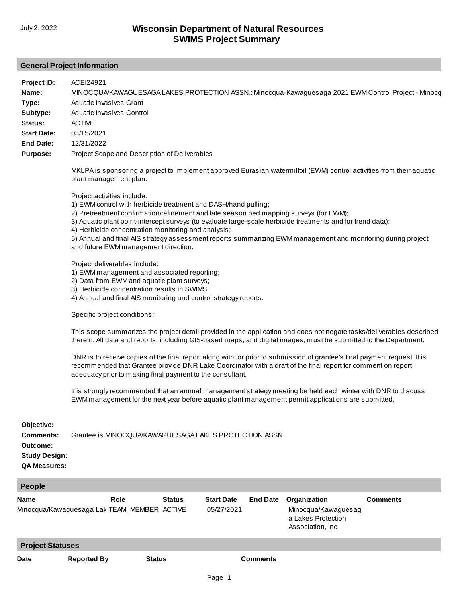## **General Project Information**

| Project ID:<br>Name:<br>Type:<br>Subtype:<br>Status:<br><b>Start Date:</b><br><b>End Date:</b><br><b>Purpose:</b> | ACEI24921<br>MINOCQUA/KAWAGUESAGA LAKES PROTECTION ASSN.: Minocqua-Kawaguesaga 2021 EWM Control Project - Minocq<br>Aquatic Invasives Grant<br>Aquatic Invasives Control<br><b>ACTIVE</b><br>03/15/2021<br>12/31/2022<br>Project Scope and Description of Deliverables<br>MKLPA is sponsoring a project to implement approved Eurasian watermilfoil (EWM) control activities from their aquatic                                                                                                                                                 |               |                                 |                 |                                                                               |                 |  |  |
|-------------------------------------------------------------------------------------------------------------------|-------------------------------------------------------------------------------------------------------------------------------------------------------------------------------------------------------------------------------------------------------------------------------------------------------------------------------------------------------------------------------------------------------------------------------------------------------------------------------------------------------------------------------------------------|---------------|---------------------------------|-----------------|-------------------------------------------------------------------------------|-----------------|--|--|
|                                                                                                                   | plant management plan.<br>Project activities include:<br>1) EWM control with herbicide treatment and DASH/hand pulling;<br>2) Pretreatment confirmation/refinement and late season bed mapping surveys (for EWM);<br>3) Aquatic plant point-intercept surveys (to evaluate large-scale herbicide treatments and for trend data);<br>4) Herbicide concentration monitoring and analysis;<br>5) Annual and final AIS strategy assessment reports summarizing EWM management and monitoring during project<br>and future EWM management direction. |               |                                 |                 |                                                                               |                 |  |  |
|                                                                                                                   | Project deliverables include:<br>1) EWM management and associated reporting;<br>2) Data from EWM and aquatic plant surveys;<br>3) Herbicide concentration results in SWIMS;<br>4) Annual and final AIS monitoring and control strategy reports.                                                                                                                                                                                                                                                                                                 |               |                                 |                 |                                                                               |                 |  |  |
|                                                                                                                   | Specific project conditions:<br>This scope summarizes the project detail provided in the application and does not negate tasks/deliverables described<br>therein. All data and reports, including GIS-based maps, and digital images, must be submitted to the Department.                                                                                                                                                                                                                                                                      |               |                                 |                 |                                                                               |                 |  |  |
|                                                                                                                   | DNR is to receive copies of the final report along with, or prior to submission of grantee's final payment request. It is<br>recommended that Grantee provide DNR Lake Coordinator with a draft of the final report for comment on report<br>adequacy prior to making final payment to the consultant.                                                                                                                                                                                                                                          |               |                                 |                 |                                                                               |                 |  |  |
|                                                                                                                   | It is strongly recommended that an annual management strategy meeting be held each winter with DNR to discuss<br>EWM management for the next year before aquatic plant management permit applications are submitted.                                                                                                                                                                                                                                                                                                                            |               |                                 |                 |                                                                               |                 |  |  |
| Objective:<br><b>Comments:</b><br>Outcome:<br><b>Study Design:</b><br><b>QA Measures:</b>                         | Grantee is MINOCOUA/KAWAGUESAGA LAKES PROTECTION ASSN.                                                                                                                                                                                                                                                                                                                                                                                                                                                                                          |               |                                 |                 |                                                                               |                 |  |  |
| <b>People</b>                                                                                                     |                                                                                                                                                                                                                                                                                                                                                                                                                                                                                                                                                 |               |                                 |                 |                                                                               |                 |  |  |
| Name                                                                                                              | Role<br>Minocqua/Kawaguesaga Lal TEAM_MEMBER ACTIVE                                                                                                                                                                                                                                                                                                                                                                                                                                                                                             | <b>Status</b> | <b>Start Date</b><br>05/27/2021 | <b>End Date</b> | Organization<br>Minocqua/Kawaguesag<br>a Lakes Protection<br>Association, Inc | <b>Comments</b> |  |  |

**Project Statuses**

**Date Reported By Status Comments**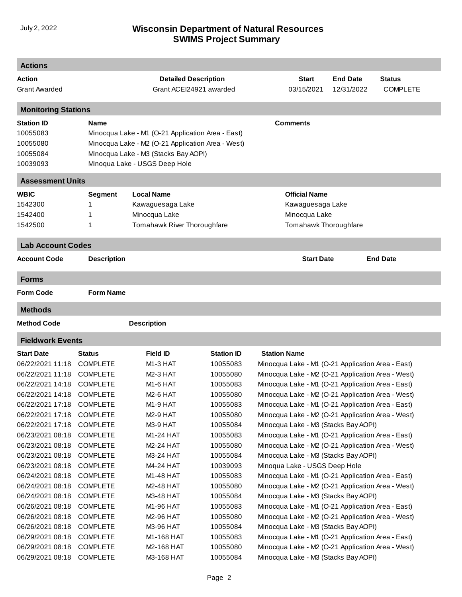## **SWIMS Project Summary** July 2, 2022 **Wisconsin Department of Natural Resources**

| Action<br><b>Detailed Description</b><br><b>Start</b><br><b>End Date</b><br><b>Status</b><br>Grant ACEI24921 awarded<br>03/15/2021<br><b>COMPLETE</b><br><b>Grant Awarded</b><br>12/31/2022<br><b>Monitoring Stations</b><br><b>Comments</b><br><b>Station ID</b><br><b>Name</b><br>Minocqua Lake - M1 (O-21 Application Area - East)<br>10055083<br>Minocqua Lake - M2 (O-21 Application Area - West)<br>10055080<br>Minocqua Lake - M3 (Stacks Bay AOPI)<br>10055084<br>Minoqua Lake - USGS Deep Hole<br>10039093<br><b>Assessment Units</b><br><b>WBIC</b><br><b>Local Name</b><br><b>Official Name</b><br><b>Segment</b><br>1542300<br>Kawaguesaga Lake<br>Kawaguesaga Lake<br>1<br>Minocqua Lake<br>Minocqua Lake<br>1542400<br>1<br>Tomahawk River Thoroughfare<br>Tomahawk Thoroughfare<br>1542500<br>1<br><b>Lab Account Codes</b><br><b>End Date</b><br>Account Code<br><b>Description</b><br><b>Start Date</b><br><b>Forms</b><br><b>Form Name</b><br><b>Methods</b><br>Method Code<br><b>Description</b><br><b>Fieldwork Events</b><br><b>Field ID</b><br><b>Station Name</b><br><b>Start Date</b><br><b>Status</b><br><b>Station ID</b><br><b>COMPLETE</b><br>M <sub>1</sub> -3 HAT<br>10055083<br>Minocqua Lake - M1 (O-21 Application Area - East)<br><b>COMPLETE</b><br><b>M2-3 HAT</b><br>Minocqua Lake - M2 (O-21 Application Area - West)<br>10055080<br><b>COMPLETE</b><br>M1-6 HAT<br>10055083<br>Minocqua Lake - M1 (O-21 Application Area - East)<br><b>COMPLETE</b><br>M2-6 HAT<br>10055080<br>Minocqua Lake - M2 (O-21 Application Area - West)<br><b>COMPLETE</b><br>M <sub>1</sub> -9 HAT<br>10055083<br>Minocqua Lake - M1 (O-21 Application Area - East)<br><b>COMPLETE</b><br>M <sub>2</sub> -9 HAT<br>10055080<br>Minocqua Lake - M2 (O-21 Application Area - West)<br>Minocqua Lake - M3 (Stacks Bay AOPI)<br><b>COMPLETE</b><br>M3-9 HAT<br>10055084<br><b>COMPLETE</b><br>10055083<br>Minocqua Lake - M1 (O-21 Application Area - East)<br>M1-24 HAT<br><b>COMPLETE</b><br>M2-24 HAT<br>10055080<br>Minocqua Lake - M2 (O-21 Application Area - West)<br><b>COMPLETE</b><br>M3-24 HAT<br>10055084<br>Minocqua Lake - M3 (Stacks Bay AOPI)<br>06/23/2021 08:18<br>Minoqua Lake - USGS Deep Hole<br><b>COMPLETE</b><br>M4-24 HAT<br>10039093<br>06/24/2021 08:18<br><b>COMPLETE</b><br>M1-48 HAT<br>10055083<br>Minocqua Lake - M1 (O-21 Application Area - East)<br>06/24/2021 08:18<br><b>COMPLETE</b><br>M2-48 HAT<br>10055080<br>Minocqua Lake - M2 (O-21 Application Area - West)<br>Minocqua Lake - M3 (Stacks Bay AOPI)<br>06/24/2021 08:18<br><b>COMPLETE</b><br>M3-48 HAT<br>10055084<br>06/26/2021 08:18<br><b>COMPLETE</b><br>M1-96 HAT<br>10055083<br>Minocqua Lake - M1 (O-21 Application Area - East)<br>06/26/2021 08:18<br><b>COMPLETE</b><br>10055080<br>Minocqua Lake - M2 (O-21 Application Area - West)<br>M2-96 HAT<br>06/26/2021 08:18<br><b>COMPLETE</b><br>M3-96 HAT<br>10055084<br>Minocqua Lake - M3 (Stacks Bay AOPI) | <b>Actions</b>   |                 |            |          |  |  |  |  |
|---------------------------------------------------------------------------------------------------------------------------------------------------------------------------------------------------------------------------------------------------------------------------------------------------------------------------------------------------------------------------------------------------------------------------------------------------------------------------------------------------------------------------------------------------------------------------------------------------------------------------------------------------------------------------------------------------------------------------------------------------------------------------------------------------------------------------------------------------------------------------------------------------------------------------------------------------------------------------------------------------------------------------------------------------------------------------------------------------------------------------------------------------------------------------------------------------------------------------------------------------------------------------------------------------------------------------------------------------------------------------------------------------------------------------------------------------------------------------------------------------------------------------------------------------------------------------------------------------------------------------------------------------------------------------------------------------------------------------------------------------------------------------------------------------------------------------------------------------------------------------------------------------------------------------------------------------------------------------------------------------------------------------------------------------------------------------------------------------------------------------------------------------------------------------------------------------------------------------------------------------------------------------------------------------------------------------------------------------------------------------------------------------------------------------------------------------------------------------------------------------------------------------------------------------------------------------------------------------------------------------------------------------------------------------------------------------------------------------------------------------------------------------------------------------------------------------------------------------------------------------------------------------------------------------------------------------------------------------------|------------------|-----------------|------------|----------|--|--|--|--|
|                                                                                                                                                                                                                                                                                                                                                                                                                                                                                                                                                                                                                                                                                                                                                                                                                                                                                                                                                                                                                                                                                                                                                                                                                                                                                                                                                                                                                                                                                                                                                                                                                                                                                                                                                                                                                                                                                                                                                                                                                                                                                                                                                                                                                                                                                                                                                                                                                                                                                                                                                                                                                                                                                                                                                                                                                                                                                                                                                                                 |                  |                 |            |          |  |  |  |  |
|                                                                                                                                                                                                                                                                                                                                                                                                                                                                                                                                                                                                                                                                                                                                                                                                                                                                                                                                                                                                                                                                                                                                                                                                                                                                                                                                                                                                                                                                                                                                                                                                                                                                                                                                                                                                                                                                                                                                                                                                                                                                                                                                                                                                                                                                                                                                                                                                                                                                                                                                                                                                                                                                                                                                                                                                                                                                                                                                                                                 |                  |                 |            |          |  |  |  |  |
|                                                                                                                                                                                                                                                                                                                                                                                                                                                                                                                                                                                                                                                                                                                                                                                                                                                                                                                                                                                                                                                                                                                                                                                                                                                                                                                                                                                                                                                                                                                                                                                                                                                                                                                                                                                                                                                                                                                                                                                                                                                                                                                                                                                                                                                                                                                                                                                                                                                                                                                                                                                                                                                                                                                                                                                                                                                                                                                                                                                 |                  |                 |            |          |  |  |  |  |
|                                                                                                                                                                                                                                                                                                                                                                                                                                                                                                                                                                                                                                                                                                                                                                                                                                                                                                                                                                                                                                                                                                                                                                                                                                                                                                                                                                                                                                                                                                                                                                                                                                                                                                                                                                                                                                                                                                                                                                                                                                                                                                                                                                                                                                                                                                                                                                                                                                                                                                                                                                                                                                                                                                                                                                                                                                                                                                                                                                                 |                  |                 |            |          |  |  |  |  |
|                                                                                                                                                                                                                                                                                                                                                                                                                                                                                                                                                                                                                                                                                                                                                                                                                                                                                                                                                                                                                                                                                                                                                                                                                                                                                                                                                                                                                                                                                                                                                                                                                                                                                                                                                                                                                                                                                                                                                                                                                                                                                                                                                                                                                                                                                                                                                                                                                                                                                                                                                                                                                                                                                                                                                                                                                                                                                                                                                                                 |                  |                 |            |          |  |  |  |  |
|                                                                                                                                                                                                                                                                                                                                                                                                                                                                                                                                                                                                                                                                                                                                                                                                                                                                                                                                                                                                                                                                                                                                                                                                                                                                                                                                                                                                                                                                                                                                                                                                                                                                                                                                                                                                                                                                                                                                                                                                                                                                                                                                                                                                                                                                                                                                                                                                                                                                                                                                                                                                                                                                                                                                                                                                                                                                                                                                                                                 |                  |                 |            |          |  |  |  |  |
|                                                                                                                                                                                                                                                                                                                                                                                                                                                                                                                                                                                                                                                                                                                                                                                                                                                                                                                                                                                                                                                                                                                                                                                                                                                                                                                                                                                                                                                                                                                                                                                                                                                                                                                                                                                                                                                                                                                                                                                                                                                                                                                                                                                                                                                                                                                                                                                                                                                                                                                                                                                                                                                                                                                                                                                                                                                                                                                                                                                 |                  |                 |            |          |  |  |  |  |
|                                                                                                                                                                                                                                                                                                                                                                                                                                                                                                                                                                                                                                                                                                                                                                                                                                                                                                                                                                                                                                                                                                                                                                                                                                                                                                                                                                                                                                                                                                                                                                                                                                                                                                                                                                                                                                                                                                                                                                                                                                                                                                                                                                                                                                                                                                                                                                                                                                                                                                                                                                                                                                                                                                                                                                                                                                                                                                                                                                                 |                  |                 |            |          |  |  |  |  |
|                                                                                                                                                                                                                                                                                                                                                                                                                                                                                                                                                                                                                                                                                                                                                                                                                                                                                                                                                                                                                                                                                                                                                                                                                                                                                                                                                                                                                                                                                                                                                                                                                                                                                                                                                                                                                                                                                                                                                                                                                                                                                                                                                                                                                                                                                                                                                                                                                                                                                                                                                                                                                                                                                                                                                                                                                                                                                                                                                                                 |                  |                 |            |          |  |  |  |  |
|                                                                                                                                                                                                                                                                                                                                                                                                                                                                                                                                                                                                                                                                                                                                                                                                                                                                                                                                                                                                                                                                                                                                                                                                                                                                                                                                                                                                                                                                                                                                                                                                                                                                                                                                                                                                                                                                                                                                                                                                                                                                                                                                                                                                                                                                                                                                                                                                                                                                                                                                                                                                                                                                                                                                                                                                                                                                                                                                                                                 |                  |                 |            |          |  |  |  |  |
|                                                                                                                                                                                                                                                                                                                                                                                                                                                                                                                                                                                                                                                                                                                                                                                                                                                                                                                                                                                                                                                                                                                                                                                                                                                                                                                                                                                                                                                                                                                                                                                                                                                                                                                                                                                                                                                                                                                                                                                                                                                                                                                                                                                                                                                                                                                                                                                                                                                                                                                                                                                                                                                                                                                                                                                                                                                                                                                                                                                 |                  |                 |            |          |  |  |  |  |
|                                                                                                                                                                                                                                                                                                                                                                                                                                                                                                                                                                                                                                                                                                                                                                                                                                                                                                                                                                                                                                                                                                                                                                                                                                                                                                                                                                                                                                                                                                                                                                                                                                                                                                                                                                                                                                                                                                                                                                                                                                                                                                                                                                                                                                                                                                                                                                                                                                                                                                                                                                                                                                                                                                                                                                                                                                                                                                                                                                                 |                  |                 |            |          |  |  |  |  |
|                                                                                                                                                                                                                                                                                                                                                                                                                                                                                                                                                                                                                                                                                                                                                                                                                                                                                                                                                                                                                                                                                                                                                                                                                                                                                                                                                                                                                                                                                                                                                                                                                                                                                                                                                                                                                                                                                                                                                                                                                                                                                                                                                                                                                                                                                                                                                                                                                                                                                                                                                                                                                                                                                                                                                                                                                                                                                                                                                                                 |                  |                 |            |          |  |  |  |  |
|                                                                                                                                                                                                                                                                                                                                                                                                                                                                                                                                                                                                                                                                                                                                                                                                                                                                                                                                                                                                                                                                                                                                                                                                                                                                                                                                                                                                                                                                                                                                                                                                                                                                                                                                                                                                                                                                                                                                                                                                                                                                                                                                                                                                                                                                                                                                                                                                                                                                                                                                                                                                                                                                                                                                                                                                                                                                                                                                                                                 |                  |                 |            |          |  |  |  |  |
|                                                                                                                                                                                                                                                                                                                                                                                                                                                                                                                                                                                                                                                                                                                                                                                                                                                                                                                                                                                                                                                                                                                                                                                                                                                                                                                                                                                                                                                                                                                                                                                                                                                                                                                                                                                                                                                                                                                                                                                                                                                                                                                                                                                                                                                                                                                                                                                                                                                                                                                                                                                                                                                                                                                                                                                                                                                                                                                                                                                 |                  |                 |            |          |  |  |  |  |
|                                                                                                                                                                                                                                                                                                                                                                                                                                                                                                                                                                                                                                                                                                                                                                                                                                                                                                                                                                                                                                                                                                                                                                                                                                                                                                                                                                                                                                                                                                                                                                                                                                                                                                                                                                                                                                                                                                                                                                                                                                                                                                                                                                                                                                                                                                                                                                                                                                                                                                                                                                                                                                                                                                                                                                                                                                                                                                                                                                                 |                  |                 |            |          |  |  |  |  |
|                                                                                                                                                                                                                                                                                                                                                                                                                                                                                                                                                                                                                                                                                                                                                                                                                                                                                                                                                                                                                                                                                                                                                                                                                                                                                                                                                                                                                                                                                                                                                                                                                                                                                                                                                                                                                                                                                                                                                                                                                                                                                                                                                                                                                                                                                                                                                                                                                                                                                                                                                                                                                                                                                                                                                                                                                                                                                                                                                                                 |                  |                 |            |          |  |  |  |  |
|                                                                                                                                                                                                                                                                                                                                                                                                                                                                                                                                                                                                                                                                                                                                                                                                                                                                                                                                                                                                                                                                                                                                                                                                                                                                                                                                                                                                                                                                                                                                                                                                                                                                                                                                                                                                                                                                                                                                                                                                                                                                                                                                                                                                                                                                                                                                                                                                                                                                                                                                                                                                                                                                                                                                                                                                                                                                                                                                                                                 | <b>Form Code</b> |                 |            |          |  |  |  |  |
|                                                                                                                                                                                                                                                                                                                                                                                                                                                                                                                                                                                                                                                                                                                                                                                                                                                                                                                                                                                                                                                                                                                                                                                                                                                                                                                                                                                                                                                                                                                                                                                                                                                                                                                                                                                                                                                                                                                                                                                                                                                                                                                                                                                                                                                                                                                                                                                                                                                                                                                                                                                                                                                                                                                                                                                                                                                                                                                                                                                 |                  |                 |            |          |  |  |  |  |
|                                                                                                                                                                                                                                                                                                                                                                                                                                                                                                                                                                                                                                                                                                                                                                                                                                                                                                                                                                                                                                                                                                                                                                                                                                                                                                                                                                                                                                                                                                                                                                                                                                                                                                                                                                                                                                                                                                                                                                                                                                                                                                                                                                                                                                                                                                                                                                                                                                                                                                                                                                                                                                                                                                                                                                                                                                                                                                                                                                                 |                  |                 |            |          |  |  |  |  |
|                                                                                                                                                                                                                                                                                                                                                                                                                                                                                                                                                                                                                                                                                                                                                                                                                                                                                                                                                                                                                                                                                                                                                                                                                                                                                                                                                                                                                                                                                                                                                                                                                                                                                                                                                                                                                                                                                                                                                                                                                                                                                                                                                                                                                                                                                                                                                                                                                                                                                                                                                                                                                                                                                                                                                                                                                                                                                                                                                                                 |                  |                 |            |          |  |  |  |  |
|                                                                                                                                                                                                                                                                                                                                                                                                                                                                                                                                                                                                                                                                                                                                                                                                                                                                                                                                                                                                                                                                                                                                                                                                                                                                                                                                                                                                                                                                                                                                                                                                                                                                                                                                                                                                                                                                                                                                                                                                                                                                                                                                                                                                                                                                                                                                                                                                                                                                                                                                                                                                                                                                                                                                                                                                                                                                                                                                                                                 |                  |                 |            |          |  |  |  |  |
|                                                                                                                                                                                                                                                                                                                                                                                                                                                                                                                                                                                                                                                                                                                                                                                                                                                                                                                                                                                                                                                                                                                                                                                                                                                                                                                                                                                                                                                                                                                                                                                                                                                                                                                                                                                                                                                                                                                                                                                                                                                                                                                                                                                                                                                                                                                                                                                                                                                                                                                                                                                                                                                                                                                                                                                                                                                                                                                                                                                 | 06/22/2021 11:18 |                 |            |          |  |  |  |  |
|                                                                                                                                                                                                                                                                                                                                                                                                                                                                                                                                                                                                                                                                                                                                                                                                                                                                                                                                                                                                                                                                                                                                                                                                                                                                                                                                                                                                                                                                                                                                                                                                                                                                                                                                                                                                                                                                                                                                                                                                                                                                                                                                                                                                                                                                                                                                                                                                                                                                                                                                                                                                                                                                                                                                                                                                                                                                                                                                                                                 | 06/22/2021 11:18 |                 |            |          |  |  |  |  |
|                                                                                                                                                                                                                                                                                                                                                                                                                                                                                                                                                                                                                                                                                                                                                                                                                                                                                                                                                                                                                                                                                                                                                                                                                                                                                                                                                                                                                                                                                                                                                                                                                                                                                                                                                                                                                                                                                                                                                                                                                                                                                                                                                                                                                                                                                                                                                                                                                                                                                                                                                                                                                                                                                                                                                                                                                                                                                                                                                                                 | 06/22/2021 14:18 |                 |            |          |  |  |  |  |
|                                                                                                                                                                                                                                                                                                                                                                                                                                                                                                                                                                                                                                                                                                                                                                                                                                                                                                                                                                                                                                                                                                                                                                                                                                                                                                                                                                                                                                                                                                                                                                                                                                                                                                                                                                                                                                                                                                                                                                                                                                                                                                                                                                                                                                                                                                                                                                                                                                                                                                                                                                                                                                                                                                                                                                                                                                                                                                                                                                                 | 06/22/2021 14:18 |                 |            |          |  |  |  |  |
|                                                                                                                                                                                                                                                                                                                                                                                                                                                                                                                                                                                                                                                                                                                                                                                                                                                                                                                                                                                                                                                                                                                                                                                                                                                                                                                                                                                                                                                                                                                                                                                                                                                                                                                                                                                                                                                                                                                                                                                                                                                                                                                                                                                                                                                                                                                                                                                                                                                                                                                                                                                                                                                                                                                                                                                                                                                                                                                                                                                 | 06/22/2021 17:18 |                 |            |          |  |  |  |  |
|                                                                                                                                                                                                                                                                                                                                                                                                                                                                                                                                                                                                                                                                                                                                                                                                                                                                                                                                                                                                                                                                                                                                                                                                                                                                                                                                                                                                                                                                                                                                                                                                                                                                                                                                                                                                                                                                                                                                                                                                                                                                                                                                                                                                                                                                                                                                                                                                                                                                                                                                                                                                                                                                                                                                                                                                                                                                                                                                                                                 | 06/22/2021 17:18 |                 |            |          |  |  |  |  |
|                                                                                                                                                                                                                                                                                                                                                                                                                                                                                                                                                                                                                                                                                                                                                                                                                                                                                                                                                                                                                                                                                                                                                                                                                                                                                                                                                                                                                                                                                                                                                                                                                                                                                                                                                                                                                                                                                                                                                                                                                                                                                                                                                                                                                                                                                                                                                                                                                                                                                                                                                                                                                                                                                                                                                                                                                                                                                                                                                                                 | 06/22/2021 17:18 |                 |            |          |  |  |  |  |
|                                                                                                                                                                                                                                                                                                                                                                                                                                                                                                                                                                                                                                                                                                                                                                                                                                                                                                                                                                                                                                                                                                                                                                                                                                                                                                                                                                                                                                                                                                                                                                                                                                                                                                                                                                                                                                                                                                                                                                                                                                                                                                                                                                                                                                                                                                                                                                                                                                                                                                                                                                                                                                                                                                                                                                                                                                                                                                                                                                                 | 06/23/2021 08:18 |                 |            |          |  |  |  |  |
|                                                                                                                                                                                                                                                                                                                                                                                                                                                                                                                                                                                                                                                                                                                                                                                                                                                                                                                                                                                                                                                                                                                                                                                                                                                                                                                                                                                                                                                                                                                                                                                                                                                                                                                                                                                                                                                                                                                                                                                                                                                                                                                                                                                                                                                                                                                                                                                                                                                                                                                                                                                                                                                                                                                                                                                                                                                                                                                                                                                 | 06/23/2021 08:18 |                 |            |          |  |  |  |  |
|                                                                                                                                                                                                                                                                                                                                                                                                                                                                                                                                                                                                                                                                                                                                                                                                                                                                                                                                                                                                                                                                                                                                                                                                                                                                                                                                                                                                                                                                                                                                                                                                                                                                                                                                                                                                                                                                                                                                                                                                                                                                                                                                                                                                                                                                                                                                                                                                                                                                                                                                                                                                                                                                                                                                                                                                                                                                                                                                                                                 | 06/23/2021 08:18 |                 |            |          |  |  |  |  |
|                                                                                                                                                                                                                                                                                                                                                                                                                                                                                                                                                                                                                                                                                                                                                                                                                                                                                                                                                                                                                                                                                                                                                                                                                                                                                                                                                                                                                                                                                                                                                                                                                                                                                                                                                                                                                                                                                                                                                                                                                                                                                                                                                                                                                                                                                                                                                                                                                                                                                                                                                                                                                                                                                                                                                                                                                                                                                                                                                                                 |                  |                 |            |          |  |  |  |  |
|                                                                                                                                                                                                                                                                                                                                                                                                                                                                                                                                                                                                                                                                                                                                                                                                                                                                                                                                                                                                                                                                                                                                                                                                                                                                                                                                                                                                                                                                                                                                                                                                                                                                                                                                                                                                                                                                                                                                                                                                                                                                                                                                                                                                                                                                                                                                                                                                                                                                                                                                                                                                                                                                                                                                                                                                                                                                                                                                                                                 |                  |                 |            |          |  |  |  |  |
|                                                                                                                                                                                                                                                                                                                                                                                                                                                                                                                                                                                                                                                                                                                                                                                                                                                                                                                                                                                                                                                                                                                                                                                                                                                                                                                                                                                                                                                                                                                                                                                                                                                                                                                                                                                                                                                                                                                                                                                                                                                                                                                                                                                                                                                                                                                                                                                                                                                                                                                                                                                                                                                                                                                                                                                                                                                                                                                                                                                 |                  |                 |            |          |  |  |  |  |
|                                                                                                                                                                                                                                                                                                                                                                                                                                                                                                                                                                                                                                                                                                                                                                                                                                                                                                                                                                                                                                                                                                                                                                                                                                                                                                                                                                                                                                                                                                                                                                                                                                                                                                                                                                                                                                                                                                                                                                                                                                                                                                                                                                                                                                                                                                                                                                                                                                                                                                                                                                                                                                                                                                                                                                                                                                                                                                                                                                                 |                  |                 |            |          |  |  |  |  |
|                                                                                                                                                                                                                                                                                                                                                                                                                                                                                                                                                                                                                                                                                                                                                                                                                                                                                                                                                                                                                                                                                                                                                                                                                                                                                                                                                                                                                                                                                                                                                                                                                                                                                                                                                                                                                                                                                                                                                                                                                                                                                                                                                                                                                                                                                                                                                                                                                                                                                                                                                                                                                                                                                                                                                                                                                                                                                                                                                                                 |                  |                 |            |          |  |  |  |  |
|                                                                                                                                                                                                                                                                                                                                                                                                                                                                                                                                                                                                                                                                                                                                                                                                                                                                                                                                                                                                                                                                                                                                                                                                                                                                                                                                                                                                                                                                                                                                                                                                                                                                                                                                                                                                                                                                                                                                                                                                                                                                                                                                                                                                                                                                                                                                                                                                                                                                                                                                                                                                                                                                                                                                                                                                                                                                                                                                                                                 |                  |                 |            |          |  |  |  |  |
|                                                                                                                                                                                                                                                                                                                                                                                                                                                                                                                                                                                                                                                                                                                                                                                                                                                                                                                                                                                                                                                                                                                                                                                                                                                                                                                                                                                                                                                                                                                                                                                                                                                                                                                                                                                                                                                                                                                                                                                                                                                                                                                                                                                                                                                                                                                                                                                                                                                                                                                                                                                                                                                                                                                                                                                                                                                                                                                                                                                 |                  |                 |            |          |  |  |  |  |
| Minocqua Lake - M1 (O-21 Application Area - East)                                                                                                                                                                                                                                                                                                                                                                                                                                                                                                                                                                                                                                                                                                                                                                                                                                                                                                                                                                                                                                                                                                                                                                                                                                                                                                                                                                                                                                                                                                                                                                                                                                                                                                                                                                                                                                                                                                                                                                                                                                                                                                                                                                                                                                                                                                                                                                                                                                                                                                                                                                                                                                                                                                                                                                                                                                                                                                                               | 06/29/2021 08:18 | <b>COMPLETE</b> | M1-168 HAT | 10055083 |  |  |  |  |
| Minocqua Lake - M2 (O-21 Application Area - West)<br><b>COMPLETE</b><br>M2-168 HAT<br>10055080                                                                                                                                                                                                                                                                                                                                                                                                                                                                                                                                                                                                                                                                                                                                                                                                                                                                                                                                                                                                                                                                                                                                                                                                                                                                                                                                                                                                                                                                                                                                                                                                                                                                                                                                                                                                                                                                                                                                                                                                                                                                                                                                                                                                                                                                                                                                                                                                                                                                                                                                                                                                                                                                                                                                                                                                                                                                                  | 06/29/2021 08:18 |                 |            |          |  |  |  |  |
| <b>COMPLETE</b><br>M3-168 HAT<br>10055084<br>Minocqua Lake - M3 (Stacks Bay AOPI)                                                                                                                                                                                                                                                                                                                                                                                                                                                                                                                                                                                                                                                                                                                                                                                                                                                                                                                                                                                                                                                                                                                                                                                                                                                                                                                                                                                                                                                                                                                                                                                                                                                                                                                                                                                                                                                                                                                                                                                                                                                                                                                                                                                                                                                                                                                                                                                                                                                                                                                                                                                                                                                                                                                                                                                                                                                                                               | 06/29/2021 08:18 |                 |            |          |  |  |  |  |